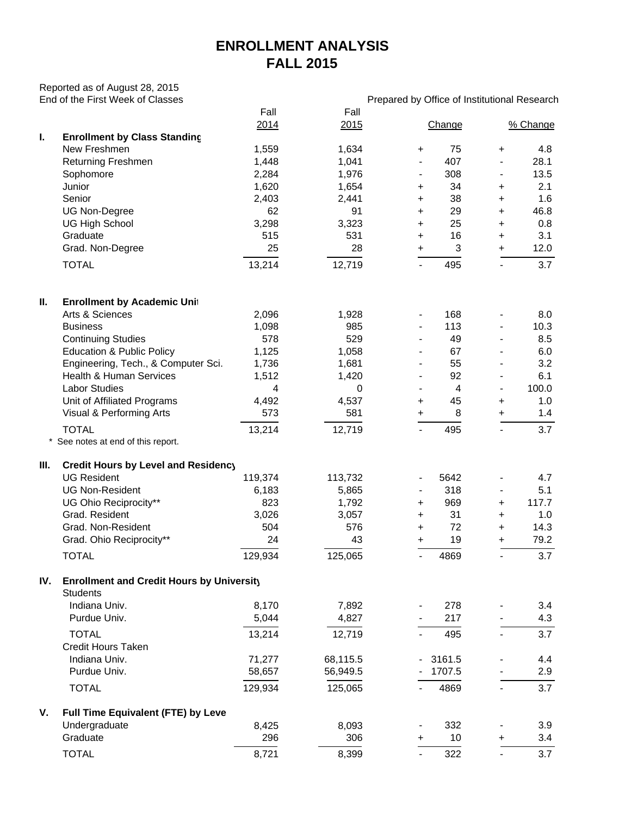## **ENROLLMENT ANALYSIS FALL 2015**

Reported as of August 28, 2015

|     | End of the First Week of Classes                 |         |          | Prepared by Office of Institutional Research |        |                          |          |  |  |  |  |  |
|-----|--------------------------------------------------|---------|----------|----------------------------------------------|--------|--------------------------|----------|--|--|--|--|--|
|     |                                                  | Fall    | Fall     |                                              |        |                          |          |  |  |  |  |  |
|     |                                                  | 2014    | 2015     |                                              | Change |                          | % Change |  |  |  |  |  |
| I.  | <b>Enrollment by Class Standing</b>              |         |          |                                              |        |                          |          |  |  |  |  |  |
|     | New Freshmen                                     | 1,559   | 1,634    | +                                            | 75     | $\ddot{}$                | 4.8      |  |  |  |  |  |
|     | <b>Returning Freshmen</b>                        | 1,448   | 1,041    | $\blacksquare$                               | 407    |                          | 28.1     |  |  |  |  |  |
|     | Sophomore                                        | 2,284   | 1,976    | $\blacksquare$                               | 308    | $\overline{\phantom{a}}$ | 13.5     |  |  |  |  |  |
|     | Junior                                           | 1,620   | 1,654    | +                                            | 34     | +                        | 2.1      |  |  |  |  |  |
|     | Senior                                           | 2,403   | 2,441    | +                                            | 38     | +                        | 1.6      |  |  |  |  |  |
|     | UG Non-Degree                                    | 62      | 91       | +                                            | 29     | +                        | 46.8     |  |  |  |  |  |
|     | <b>UG High School</b>                            | 3,298   | 3,323    | +                                            | 25     | +                        | 0.8      |  |  |  |  |  |
|     | Graduate                                         | 515     | 531      | +                                            | 16     | +                        | 3.1      |  |  |  |  |  |
|     | Grad. Non-Degree                                 | 25      | 28       | +                                            | 3      | $\ddot{}$                | 12.0     |  |  |  |  |  |
|     | <b>TOTAL</b>                                     | 13,214  | 12,719   |                                              | 495    | $\overline{\phantom{0}}$ | 3.7      |  |  |  |  |  |
|     |                                                  |         |          |                                              |        |                          |          |  |  |  |  |  |
| Ш.  | <b>Enrollment by Academic Unit</b>               |         |          |                                              |        |                          |          |  |  |  |  |  |
|     | Arts & Sciences                                  | 2,096   | 1,928    | $\blacksquare$                               | 168    |                          | 8.0      |  |  |  |  |  |
|     | <b>Business</b>                                  | 1,098   | 985      | $\overline{\phantom{a}}$                     | 113    | $\overline{\phantom{0}}$ | 10.3     |  |  |  |  |  |
|     | <b>Continuing Studies</b>                        | 578     | 529      | $\blacksquare$                               | 49     |                          | 8.5      |  |  |  |  |  |
|     | <b>Education &amp; Public Policy</b>             | 1,125   | 1,058    | $\blacksquare$                               | 67     |                          | 6.0      |  |  |  |  |  |
|     | Engineering, Tech., & Computer Sci.              | 1,736   | 1,681    | $\blacksquare$                               | 55     |                          | 3.2      |  |  |  |  |  |
|     | <b>Health &amp; Human Services</b>               | 1,512   | 1,420    | $\blacksquare$                               | 92     | $\overline{\phantom{a}}$ | 6.1      |  |  |  |  |  |
|     | <b>Labor Studies</b>                             | 4       | 0        |                                              | 4      |                          | 100.0    |  |  |  |  |  |
|     | Unit of Affiliated Programs                      | 4,492   | 4,537    | +                                            | 45     | +                        | 1.0      |  |  |  |  |  |
|     | Visual & Performing Arts                         | 573     | 581      | +                                            | 8      | $\ddot{}$                | 1.4      |  |  |  |  |  |
|     | <b>TOTAL</b>                                     | 13,214  | 12,719   | $\blacksquare$                               | 495    | $\overline{\phantom{0}}$ | 3.7      |  |  |  |  |  |
|     | See notes at end of this report.                 |         |          |                                              |        |                          |          |  |  |  |  |  |
| Ш.  | Credit Hours by Level and Residency              |         |          |                                              |        |                          |          |  |  |  |  |  |
|     | <b>UG Resident</b>                               | 119,374 | 113,732  | $\blacksquare$                               | 5642   |                          | 4.7      |  |  |  |  |  |
|     | <b>UG Non-Resident</b>                           | 6,183   | 5,865    | $\blacksquare$                               | 318    | $\blacksquare$           | 5.1      |  |  |  |  |  |
|     | UG Ohio Reciprocity**                            | 823     | 1,792    | +                                            | 969    | +                        | 117.7    |  |  |  |  |  |
|     | Grad. Resident                                   | 3,026   | 3,057    | +                                            | 31     | +                        | 1.0      |  |  |  |  |  |
|     | Grad. Non-Resident                               | 504     | 576      | +                                            | 72     | +                        | 14.3     |  |  |  |  |  |
|     | Grad. Ohio Reciprocity**                         | 24      | 43       | +                                            | 19     | +                        | 79.2     |  |  |  |  |  |
|     | <b>TOTAL</b>                                     | 129,934 | 125,065  |                                              | 4869   |                          | 3.7      |  |  |  |  |  |
| IV. | <b>Enrollment and Credit Hours by University</b> |         |          |                                              |        |                          |          |  |  |  |  |  |
|     | <b>Students</b>                                  |         |          |                                              |        |                          |          |  |  |  |  |  |
|     | Indiana Univ.                                    | 8,170   | 7,892    |                                              | 278    |                          | 3.4      |  |  |  |  |  |
|     | Purdue Univ.                                     | 5,044   | 4,827    |                                              | 217    |                          | 4.3      |  |  |  |  |  |
|     | <b>TOTAL</b><br><b>Credit Hours Taken</b>        | 13,214  | 12,719   |                                              | 495    | $\overline{\phantom{0}}$ | 3.7      |  |  |  |  |  |
|     | Indiana Univ.                                    | 71,277  | 68,115.5 | $\sim$                                       | 3161.5 |                          | 4.4      |  |  |  |  |  |
|     | Purdue Univ.                                     | 58,657  | 56,949.5 |                                              | 1707.5 |                          | 2.9      |  |  |  |  |  |
|     | <b>TOTAL</b>                                     | 129,934 | 125,065  |                                              | 4869   | $\overline{\phantom{a}}$ | 3.7      |  |  |  |  |  |
| V.  | Full Time Equivalent (FTE) by Leve               |         |          |                                              |        |                          |          |  |  |  |  |  |
|     | Undergraduate                                    | 8,425   | 8,093    |                                              | 332    |                          | 3.9      |  |  |  |  |  |
|     | Graduate                                         | 296     | 306      | +                                            | 10     | +                        | 3.4      |  |  |  |  |  |
|     | <b>TOTAL</b>                                     | 8,721   | 8,399    |                                              | 322    |                          | 3.7      |  |  |  |  |  |
|     |                                                  |         |          |                                              |        |                          |          |  |  |  |  |  |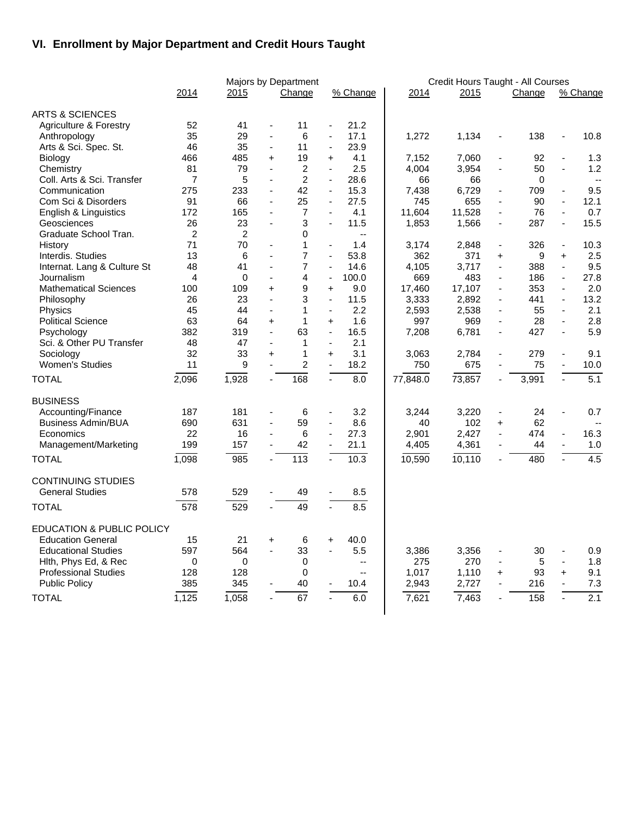## **VI. Enrollment by Major Department and Credit Hours Taught**

|                                      |                |                | Majors by Department |                  |                          |                          |          | Credit Hours Taught - All Courses |                          |        |                          |              |  |
|--------------------------------------|----------------|----------------|----------------------|------------------|--------------------------|--------------------------|----------|-----------------------------------|--------------------------|--------|--------------------------|--------------|--|
|                                      | 2014           | 2015           |                      | Change           |                          | % Change                 | 2014     | 2015                              |                          | Change |                          | % Change     |  |
| <b>ARTS &amp; SCIENCES</b>           |                |                |                      |                  |                          |                          |          |                                   |                          |        |                          |              |  |
| Agriculture & Forestry               | 52             | 41             | ä,                   | 11               | $\blacksquare$           | 21.2                     |          |                                   |                          |        |                          |              |  |
| Anthropology                         | 35             | 29             | $\blacksquare$       | 6                | $\frac{1}{2}$            | 17.1                     | 1,272    | 1,134                             | $\blacksquare$           | 138    | ÷,                       | 10.8         |  |
| Arts & Sci. Spec. St.                | 46             | 35             | $\blacksquare$       | 11               | $\blacksquare$           | 23.9                     |          |                                   |                          |        |                          |              |  |
| Biology                              | 466            | 485            | $\ddot{}$            | 19               | $\ddot{}$                | 4.1                      | 7,152    | 7,060                             | $\blacksquare$           | 92     | $\blacksquare$           | 1.3          |  |
| Chemistry                            | 81             | 79             | ä,                   | $\overline{c}$   | ä,                       | 2.5                      | 4,004    | 3,954                             | $\blacksquare$           | 50     | $\blacksquare$           | 1.2          |  |
| Coll. Arts & Sci. Transfer           | $\overline{7}$ | 5              | $\blacksquare$       | $\overline{2}$   | ä,                       | 28.6                     | 66       | 66                                |                          | 0      |                          | $\mathbf{L}$ |  |
| Communication                        | 275            | 233            | $\blacksquare$       | 42               | $\blacksquare$           | 15.3                     | 7,438    | 6,729                             | ä,                       | 709    | $\blacksquare$           | 9.5          |  |
| Com Sci & Disorders                  | 91             | 66             | $\blacksquare$       | 25               | ä,                       | 27.5                     | 745      | 655                               | ä,                       | 90     | $\blacksquare$           | 12.1         |  |
| English & Linguistics                | 172            | 165            | ÷,                   | 7                | $\blacksquare$           | 4.1                      | 11,604   | 11,528                            | $\blacksquare$           | 76     | $\blacksquare$           | 0.7          |  |
| Geosciences                          | 26             | 23             | ÷,                   | 3                | $\overline{a}$           | 11.5                     | 1,853    | 1,566                             | $\blacksquare$           | 287    | $\blacksquare$           | 15.5         |  |
| Graduate School Tran.                | $\overline{c}$ | $\overline{2}$ |                      | $\Omega$         |                          | $\overline{\phantom{a}}$ |          |                                   |                          |        |                          |              |  |
| History                              | 71             | 70             |                      | $\mathbf{1}$     | $\blacksquare$           | 1.4                      | 3,174    | 2,848                             | $\blacksquare$           | 326    | $\blacksquare$           | 10.3         |  |
| Interdis. Studies                    | 13             | 6              | ä,                   | $\overline{7}$   | ä,                       | 53.8                     | 362      | 371                               | $\ddot{}$                | 9      | $\ddot{}$                | 2.5          |  |
| Internat. Lang & Culture St          | 48             | 41             |                      | $\overline{7}$   | ä,                       | 14.6                     | 4,105    | 3,717                             | $\blacksquare$           | 388    | ä,                       | 9.5          |  |
| Journalism                           | 4              | 0              | $\mathbf{r}$         | 4                | $\frac{1}{2}$            | 100.0                    | 669      | 483                               | $\blacksquare$           | 186    | $\blacksquare$           | 27.8         |  |
| <b>Mathematical Sciences</b>         | 100            | 109            | $+$                  | $\boldsymbol{9}$ | $\ddot{}$                | 9.0                      | 17,460   | 17,107                            | $\blacksquare$           | 353    | ä,                       | 2.0          |  |
| Philosophy                           | 26             | 23             | $\blacksquare$       | 3                | $\blacksquare$           | 11.5                     | 3,333    | 2,892                             | $\blacksquare$           | 441    | $\blacksquare$           | 13.2         |  |
| Physics                              | 45             | 44             | $\blacksquare$       | $\mathbf{1}$     | $\blacksquare$           | 2.2                      | 2,593    | 2,538                             | $\blacksquare$           | 55     | $\blacksquare$           | 2.1          |  |
| <b>Political Science</b>             | 63             | 64             | $+$                  | $\mathbf{1}$     | $\ddot{}$                | 1.6                      | 997      | 969                               | $\blacksquare$           | 28     | $\blacksquare$           | 2.8          |  |
| Psychology                           | 382            | 319            | ÷,                   | 63               | $\blacksquare$           | 16.5                     | 7,208    | 6,781                             | $\blacksquare$           | 427    | $\blacksquare$           | 5.9          |  |
| Sci. & Other PU Transfer             | 48             | 47             |                      | $\mathbf{1}$     | $\blacksquare$           | 2.1                      |          |                                   |                          |        |                          |              |  |
| Sociology                            | 32             | 33             | +                    | $\mathbf{1}$     | $\ddot{}$                | 3.1                      | 3,063    | 2,784                             | $\blacksquare$           | 279    |                          | 9.1          |  |
| <b>Women's Studies</b>               | 11             | 9              | ÷,                   | $\overline{c}$   | $\overline{a}$           | 18.2                     | 750      | 675                               | $\blacksquare$           | 75     | $\overline{\phantom{a}}$ | 10.0         |  |
| <b>TOTAL</b>                         | 2,096          | 1,928          | $\blacksquare$       | 168              | $\overline{a}$           | 8.0                      | 77,848.0 | 73,857                            | ä,                       | 3,991  |                          | 5.1          |  |
| <b>BUSINESS</b>                      |                |                |                      |                  |                          |                          |          |                                   |                          |        |                          |              |  |
| Accounting/Finance                   | 187            | 181            | ÷,                   | 6                | $\blacksquare$           | 3.2                      | 3,244    | 3,220                             | $\blacksquare$           | 24     | $\overline{\phantom{a}}$ | 0.7          |  |
| <b>Business Admin/BUA</b>            | 690            | 631            |                      | 59               | $\blacksquare$           | 8.6                      | 40       | 102                               | $\ddot{}$                | 62     |                          |              |  |
| Economics                            | 22             | 16             | $\blacksquare$       | 6                | $\blacksquare$           | 27.3                     | 2,901    | 2,427                             | $\blacksquare$           | 474    | $\blacksquare$           | 16.3         |  |
| Management/Marketing                 | 199            | 157            |                      | 42               | $\blacksquare$           | 21.1                     | 4,405    | 4,361                             | $\overline{\phantom{a}}$ | 44     |                          | 1.0          |  |
| <b>TOTAL</b>                         | 1,098          | 985            |                      | $\overline{113}$ | $\overline{a}$           | 10.3                     | 10,590   | 10,110                            | L.                       | 480    |                          | 4.5          |  |
| <b>CONTINUING STUDIES</b>            |                |                |                      |                  |                          |                          |          |                                   |                          |        |                          |              |  |
| <b>General Studies</b>               | 578            | 529            |                      | 49               |                          | 8.5                      |          |                                   |                          |        |                          |              |  |
| <b>TOTAL</b>                         | 578            | 529            |                      | 49               |                          | 8.5                      |          |                                   |                          |        |                          |              |  |
| <b>EDUCATION &amp; PUBLIC POLICY</b> |                |                |                      |                  |                          |                          |          |                                   |                          |        |                          |              |  |
| <b>Education General</b>             | 15             | 21             |                      | 6                |                          | 40.0                     |          |                                   |                          |        |                          |              |  |
| <b>Educational Studies</b>           | 597            | 564            | +<br>L.              | 33               | $\ddot{}$                | 5.5                      | 3,386    | 3,356                             | $\blacksquare$           | 30     |                          | 0.9          |  |
| Hith, Phys Ed, & Rec                 | 0              | $\mathbf 0$    |                      | 0                |                          | $\overline{\phantom{a}}$ | 275      | 270                               | $\blacksquare$           | 5      | $\blacksquare$           | 1.8          |  |
| <b>Professional Studies</b>          | 128            | 128            |                      | 0                |                          | $\mathbf{u}$             | 1,017    | 1,110                             | $\ddot{}$                | 93     | $\ddot{}$                | 9.1          |  |
| <b>Public Policy</b>                 | 385            | 345            |                      | 40               | $\overline{\phantom{a}}$ | 10.4                     | 2,943    | 2,727                             | $\blacksquare$           | 216    | $\blacksquare$           | 7.3          |  |
|                                      |                |                |                      |                  |                          |                          |          |                                   |                          |        |                          | 2.1          |  |
| <b>TOTAL</b>                         | 1,125          | 1,058          | $\mathbf{r}$         | $\overline{67}$  | $\overline{a}$           | 6.0                      | 7,621    | 7,463                             | $\blacksquare$           | 158    |                          |              |  |